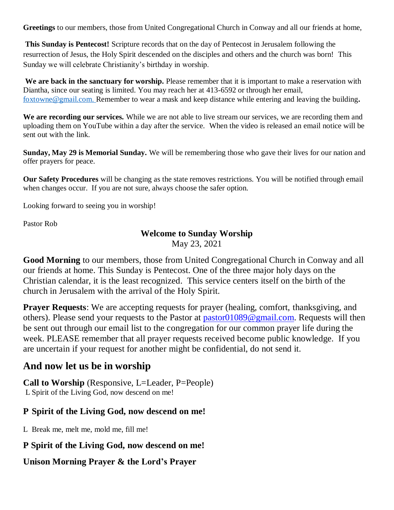**Greetings** to our members, those from United Congregational Church in Conway and all our friends at home,

**This Sunday is Pentecost!** Scripture records that on the day of Pentecost in Jerusalem following the resurrection of Jesus, the Holy Spirit descended on the disciples and others and the church was born! This Sunday we will celebrate Christianity's birthday in worship.

We are back in the sanctuary for worship. Please remember that it is important to make a reservation with Diantha, since our seating is limited. You may reach her at 413-6592 or through her email, [foxtowne@gmail.com.](mailto:foxtowne@gmail.com) Remember to wear a mask and keep distance while entering and leaving the building**.**

**We are recording our services.** While we are not able to live stream our services, we are recording them and uploading them on YouTube within a day after the service. When the video is released an email notice will be sent out with the link.

**Sunday, May 29 is Memorial Sunday.** We will be remembering those who gave their lives for our nation and offer prayers for peace.

**Our Safety Procedures** will be changing as the state removes restrictions. You will be notified through email when changes occur. If you are not sure, always choose the safer option.

Looking forward to seeing you in worship!

Pastor Rob

### **Welcome to Sunday Worship**

May 23, 2021

**Good Morning** to our members, those from United Congregational Church in Conway and all our friends at home. This Sunday is Pentecost. One of the three major holy days on the Christian calendar, it is the least recognized. This service centers itself on the birth of the church in Jerusalem with the arrival of the Holy Spirit.

**Prayer Requests**: We are accepting requests for prayer (healing, comfort, thanksgiving, and others). Please send your requests to the Pastor at [pastor01089@gmail.com.](mailto:pastor01089@gmail.com) Requests will then be sent out through our email list to the congregation for our common prayer life during the week. PLEASE remember that all prayer requests received become public knowledge. If you are uncertain if your request for another might be confidential, do not send it.

## **And now let us be in worship**

**Call to Worship** (Responsive, L=Leader, P=People) L Spirit of the Living God, now descend on me!

## **P Spirit of the Living God, now descend on me!**

L Break me, melt me, mold me, fill me!

## **P Spirit of the Living God, now descend on me!**

## **Unison Morning Prayer & the Lord's Prayer**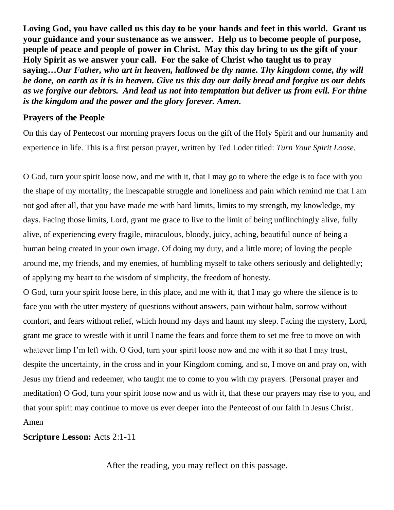**Loving God, you have called us this day to be your hands and feet in this world. Grant us your guidance and your sustenance as we answer. Help us to become people of purpose, people of peace and people of power in Christ. May this day bring to us the gift of your Holy Spirit as we answer your call. For the sake of Christ who taught us to pray saying…***Our Father, who art in heaven, hallowed be thy name. Thy kingdom come, thy will be done, on earth as it is in heaven. Give us this day our daily bread and forgive us our debts as we forgive our debtors. And lead us not into temptation but deliver us from evil. For thine is the kingdom and the power and the glory forever. Amen.*

#### **Prayers of the People**

On this day of Pentecost our morning prayers focus on the gift of the Holy Spirit and our humanity and experience in life. This is a first person prayer, written by Ted Loder titled: *Turn Your Spirit Loose.*

O God, turn your spirit loose now, and me with it, that I may go to where the edge is to face with you the shape of my mortality; the inescapable struggle and loneliness and pain which remind me that I am not god after all, that you have made me with hard limits, limits to my strength, my knowledge, my days. Facing those limits, Lord, grant me grace to live to the limit of being unflinchingly alive, fully alive, of experiencing every fragile, miraculous, bloody, juicy, aching, beautiful ounce of being a human being created in your own image. Of doing my duty, and a little more; of loving the people around me, my friends, and my enemies, of humbling myself to take others seriously and delightedly; of applying my heart to the wisdom of simplicity, the freedom of honesty.

O God, turn your spirit loose here, in this place, and me with it, that I may go where the silence is to face you with the utter mystery of questions without answers, pain without balm, sorrow without comfort, and fears without relief, which hound my days and haunt my sleep. Facing the mystery, Lord, grant me grace to wrestle with it until I name the fears and force them to set me free to move on with whatever limp I'm left with. O God, turn your spirit loose now and me with it so that I may trust, despite the uncertainty, in the cross and in your Kingdom coming, and so, I move on and pray on, with Jesus my friend and redeemer, who taught me to come to you with my prayers. (Personal prayer and meditation) O God, turn your spirit loose now and us with it, that these our prayers may rise to you, and that your spirit may continue to move us ever deeper into the Pentecost of our faith in Jesus Christ. Amen

#### **Scripture Lesson:** Acts 2:1-11

After the reading, you may reflect on this passage.